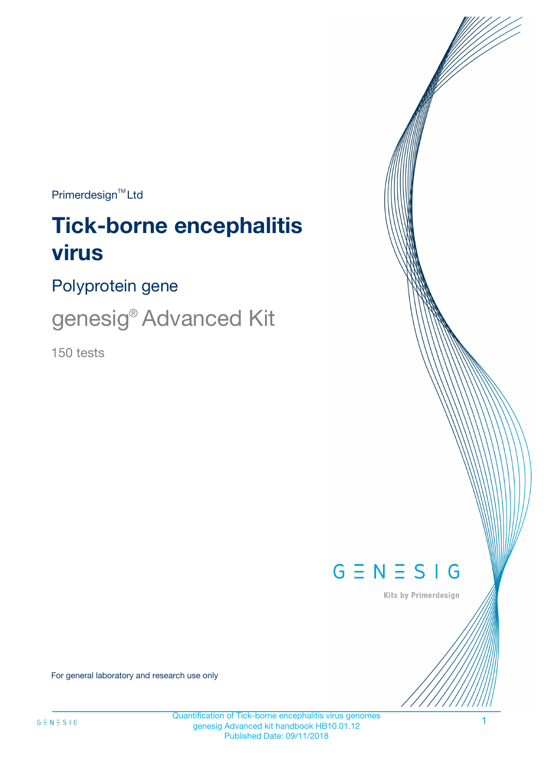$Primerdesign^{\text{TM}}Ltd$ 

# **Tick-borne encephalitis virus**

Polyprotein gene

genesig® Advanced Kit

150 tests



Kits by Primerdesign

For general laboratory and research use only

Quantification of Tick-borne encephalitis virus genomes genesig Advanced kit handbook HB10.01.12 Published Date: 09/11/2018

1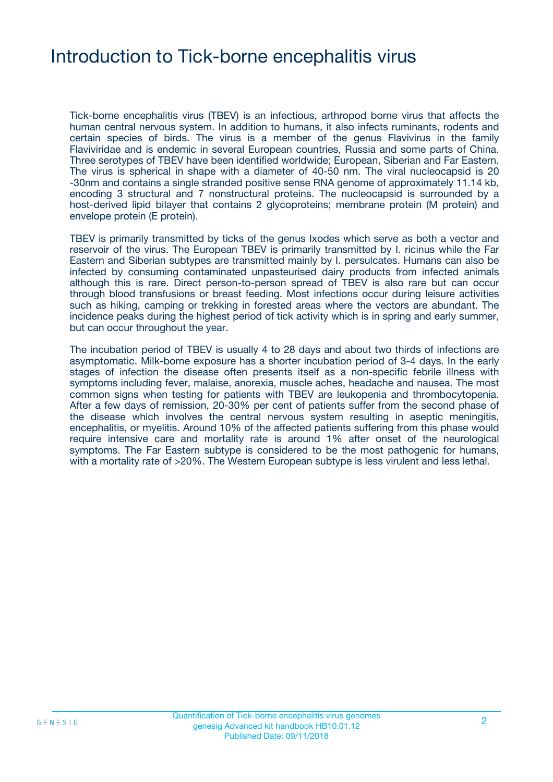### Introduction to Tick-borne encephalitis virus

Tick-borne encephalitis virus (TBEV) is an infectious, arthropod borne virus that affects the human central nervous system. In addition to humans, it also infects ruminants, rodents and certain species of birds. The virus is a member of the genus Flavivirus in the family Flaviviridae and is endemic in several European countries, Russia and some parts of China. Three serotypes of TBEV have been identified worldwide; European, Siberian and Far Eastern. The virus is spherical in shape with a diameter of 40-50 nm. The viral nucleocapsid is 20 -30nm and contains a single stranded positive sense RNA genome of approximately 11.14 kb, encoding 3 structural and 7 nonstructural proteins. The nucleocapsid is surrounded by a host-derived lipid bilayer that contains 2 glycoproteins; membrane protein (M protein) and envelope protein (E protein).

TBEV is primarily transmitted by ticks of the genus Ixodes which serve as both a vector and reservoir of the virus. The European TBEV is primarily transmitted by I. ricinus while the Far Eastern and Siberian subtypes are transmitted mainly by I. persulcates. Humans can also be infected by consuming contaminated unpasteurised dairy products from infected animals although this is rare. Direct person-to-person spread of TBEV is also rare but can occur through blood transfusions or breast feeding. Most infections occur during leisure activities such as hiking, camping or trekking in forested areas where the vectors are abundant. The incidence peaks during the highest period of tick activity which is in spring and early summer, but can occur throughout the year.

The incubation period of TBEV is usually 4 to 28 days and about two thirds of infections are asymptomatic. Milk-borne exposure has a shorter incubation period of 3-4 days. In the early stages of infection the disease often presents itself as a non-specific febrile illness with symptoms including fever, malaise, anorexia, muscle aches, headache and nausea. The most common signs when testing for patients with TBEV are leukopenia and thrombocytopenia. After a few days of remission, 20-30% per cent of patients suffer from the second phase of the disease which involves the central nervous system resulting in aseptic meningitis, encephalitis, or myelitis. Around 10% of the affected patients suffering from this phase would require intensive care and mortality rate is around 1% after onset of the neurological symptoms. The Far Eastern subtype is considered to be the most pathogenic for humans, with a mortality rate of >20%. The Western European subtype is less virulent and less lethal.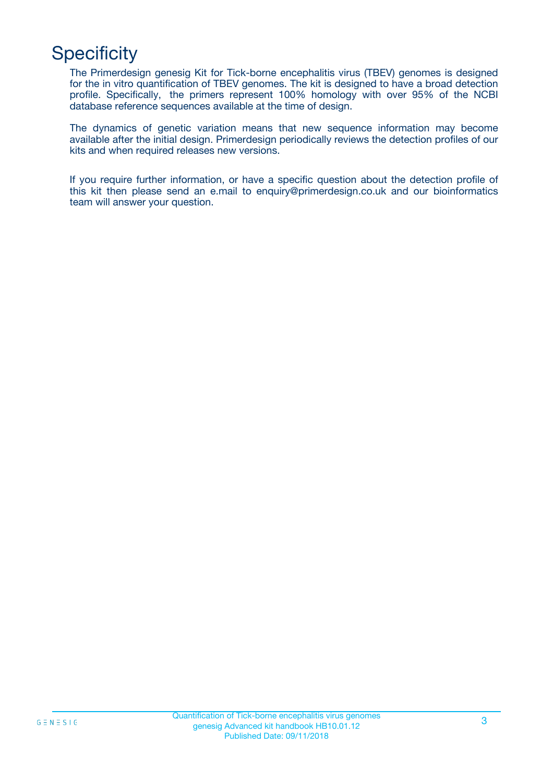# **Specificity**

The Primerdesign genesig Kit for Tick-borne encephalitis virus (TBEV) genomes is designed for the in vitro quantification of TBEV genomes. The kit is designed to have a broad detection profile. Specifically, the primers represent 100% homology with over 95% of the NCBI database reference sequences available at the time of design.

The dynamics of genetic variation means that new sequence information may become available after the initial design. Primerdesign periodically reviews the detection profiles of our kits and when required releases new versions.

If you require further information, or have a specific question about the detection profile of this kit then please send an e.mail to enquiry@primerdesign.co.uk and our bioinformatics team will answer your question.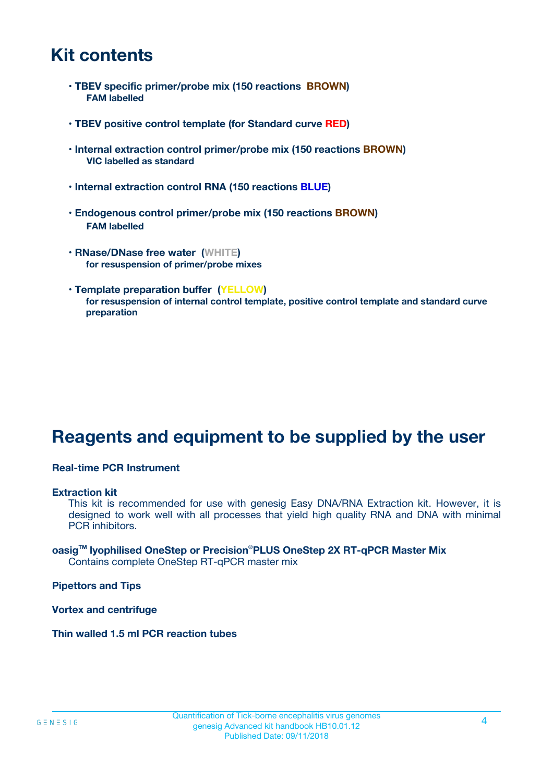### **Kit contents**

- **TBEV specific primer/probe mix (150 reactions BROWN) FAM labelled**
- **TBEV positive control template (for Standard curve RED)**
- **Internal extraction control primer/probe mix (150 reactions BROWN) VIC labelled as standard**
- **Internal extraction control RNA (150 reactions BLUE)**
- **Endogenous control primer/probe mix (150 reactions BROWN) FAM labelled**
- **RNase/DNase free water (WHITE) for resuspension of primer/probe mixes**
- **Template preparation buffer (YELLOW) for resuspension of internal control template, positive control template and standard curve preparation**

### **Reagents and equipment to be supplied by the user**

#### **Real-time PCR Instrument**

#### **Extraction kit**

This kit is recommended for use with genesig Easy DNA/RNA Extraction kit. However, it is designed to work well with all processes that yield high quality RNA and DNA with minimal PCR inhibitors.

#### **oasigTM lyophilised OneStep or Precision**®**PLUS OneStep 2X RT-qPCR Master Mix** Contains complete OneStep RT-qPCR master mix

**Pipettors and Tips**

**Vortex and centrifuge**

**Thin walled 1.5 ml PCR reaction tubes**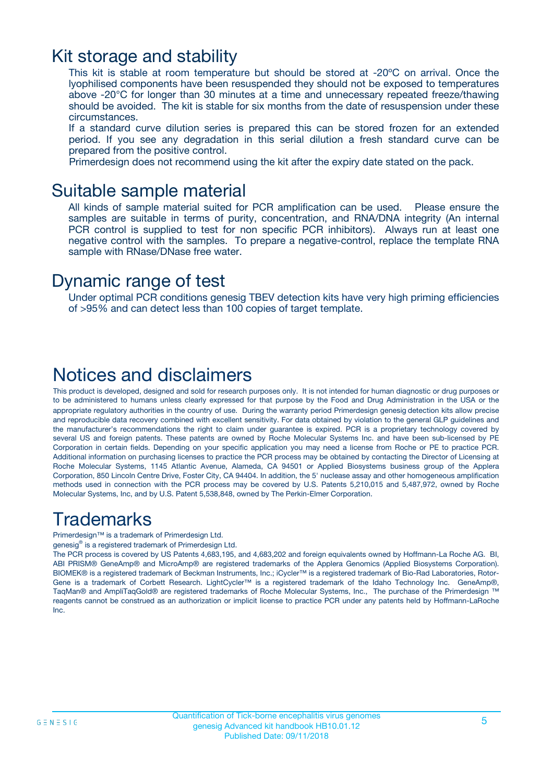### Kit storage and stability

This kit is stable at room temperature but should be stored at -20ºC on arrival. Once the lyophilised components have been resuspended they should not be exposed to temperatures above -20°C for longer than 30 minutes at a time and unnecessary repeated freeze/thawing should be avoided. The kit is stable for six months from the date of resuspension under these circumstances.

If a standard curve dilution series is prepared this can be stored frozen for an extended period. If you see any degradation in this serial dilution a fresh standard curve can be prepared from the positive control.

Primerdesign does not recommend using the kit after the expiry date stated on the pack.

### Suitable sample material

All kinds of sample material suited for PCR amplification can be used. Please ensure the samples are suitable in terms of purity, concentration, and RNA/DNA integrity (An internal PCR control is supplied to test for non specific PCR inhibitors). Always run at least one negative control with the samples. To prepare a negative-control, replace the template RNA sample with RNase/DNase free water.

### Dynamic range of test

Under optimal PCR conditions genesig TBEV detection kits have very high priming efficiencies of >95% and can detect less than 100 copies of target template.

### Notices and disclaimers

This product is developed, designed and sold for research purposes only. It is not intended for human diagnostic or drug purposes or to be administered to humans unless clearly expressed for that purpose by the Food and Drug Administration in the USA or the appropriate regulatory authorities in the country of use. During the warranty period Primerdesign genesig detection kits allow precise and reproducible data recovery combined with excellent sensitivity. For data obtained by violation to the general GLP guidelines and the manufacturer's recommendations the right to claim under guarantee is expired. PCR is a proprietary technology covered by several US and foreign patents. These patents are owned by Roche Molecular Systems Inc. and have been sub-licensed by PE Corporation in certain fields. Depending on your specific application you may need a license from Roche or PE to practice PCR. Additional information on purchasing licenses to practice the PCR process may be obtained by contacting the Director of Licensing at Roche Molecular Systems, 1145 Atlantic Avenue, Alameda, CA 94501 or Applied Biosystems business group of the Applera Corporation, 850 Lincoln Centre Drive, Foster City, CA 94404. In addition, the 5' nuclease assay and other homogeneous amplification methods used in connection with the PCR process may be covered by U.S. Patents 5,210,015 and 5,487,972, owned by Roche Molecular Systems, Inc, and by U.S. Patent 5,538,848, owned by The Perkin-Elmer Corporation.

### Trademarks

Primerdesign™ is a trademark of Primerdesign Ltd.

genesig® is a registered trademark of Primerdesign Ltd.

The PCR process is covered by US Patents 4,683,195, and 4,683,202 and foreign equivalents owned by Hoffmann-La Roche AG. BI, ABI PRISM® GeneAmp® and MicroAmp® are registered trademarks of the Applera Genomics (Applied Biosystems Corporation). BIOMEK® is a registered trademark of Beckman Instruments, Inc.; iCycler™ is a registered trademark of Bio-Rad Laboratories, Rotor-Gene is a trademark of Corbett Research. LightCycler™ is a registered trademark of the Idaho Technology Inc. GeneAmp®, TaqMan® and AmpliTaqGold® are registered trademarks of Roche Molecular Systems, Inc., The purchase of the Primerdesign ™ reagents cannot be construed as an authorization or implicit license to practice PCR under any patents held by Hoffmann-LaRoche Inc.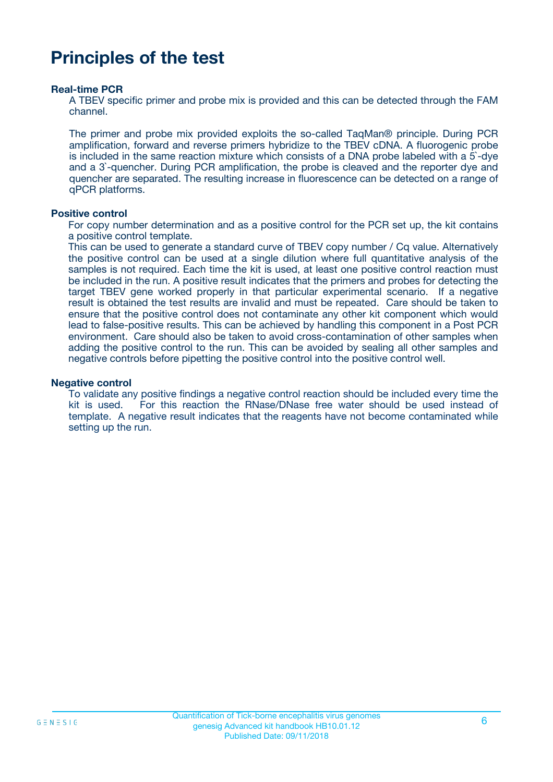### **Principles of the test**

#### **Real-time PCR**

A TBEV specific primer and probe mix is provided and this can be detected through the FAM channel.

The primer and probe mix provided exploits the so-called TaqMan® principle. During PCR amplification, forward and reverse primers hybridize to the TBEV cDNA. A fluorogenic probe is included in the same reaction mixture which consists of a DNA probe labeled with a 5`-dye and a 3`-quencher. During PCR amplification, the probe is cleaved and the reporter dye and quencher are separated. The resulting increase in fluorescence can be detected on a range of qPCR platforms.

#### **Positive control**

For copy number determination and as a positive control for the PCR set up, the kit contains a positive control template.

This can be used to generate a standard curve of TBEV copy number / Cq value. Alternatively the positive control can be used at a single dilution where full quantitative analysis of the samples is not required. Each time the kit is used, at least one positive control reaction must be included in the run. A positive result indicates that the primers and probes for detecting the target TBEV gene worked properly in that particular experimental scenario. If a negative result is obtained the test results are invalid and must be repeated. Care should be taken to ensure that the positive control does not contaminate any other kit component which would lead to false-positive results. This can be achieved by handling this component in a Post PCR environment. Care should also be taken to avoid cross-contamination of other samples when adding the positive control to the run. This can be avoided by sealing all other samples and negative controls before pipetting the positive control into the positive control well.

#### **Negative control**

To validate any positive findings a negative control reaction should be included every time the kit is used. For this reaction the RNase/DNase free water should be used instead of template. A negative result indicates that the reagents have not become contaminated while setting up the run.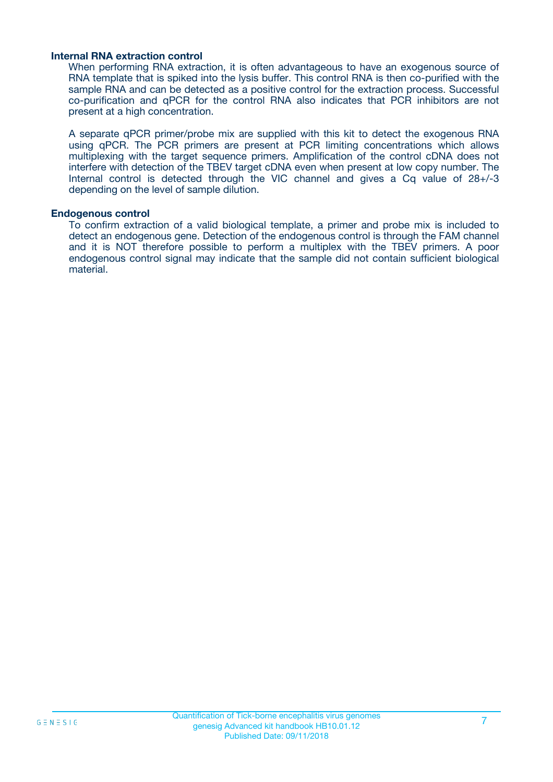#### **Internal RNA extraction control**

When performing RNA extraction, it is often advantageous to have an exogenous source of RNA template that is spiked into the lysis buffer. This control RNA is then co-purified with the sample RNA and can be detected as a positive control for the extraction process. Successful co-purification and qPCR for the control RNA also indicates that PCR inhibitors are not present at a high concentration.

A separate qPCR primer/probe mix are supplied with this kit to detect the exogenous RNA using qPCR. The PCR primers are present at PCR limiting concentrations which allows multiplexing with the target sequence primers. Amplification of the control cDNA does not interfere with detection of the TBEV target cDNA even when present at low copy number. The Internal control is detected through the VIC channel and gives a Cq value of 28+/-3 depending on the level of sample dilution.

#### **Endogenous control**

To confirm extraction of a valid biological template, a primer and probe mix is included to detect an endogenous gene. Detection of the endogenous control is through the FAM channel and it is NOT therefore possible to perform a multiplex with the TBEV primers. A poor endogenous control signal may indicate that the sample did not contain sufficient biological material.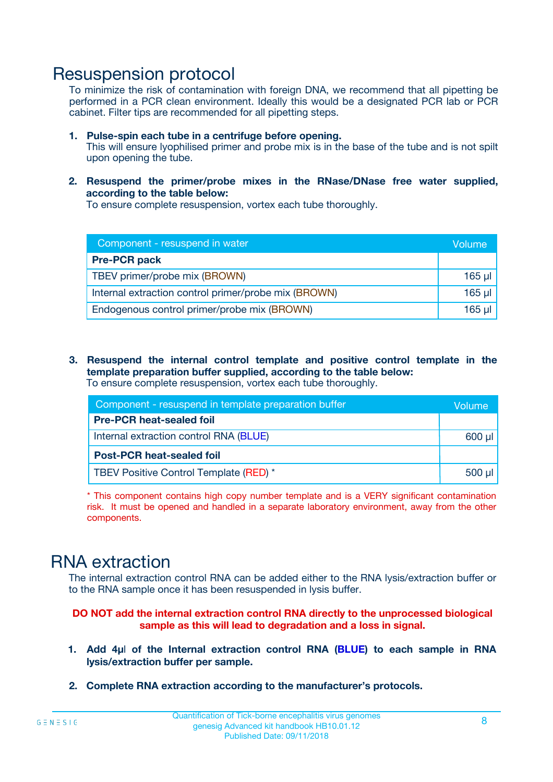### Resuspension protocol

To minimize the risk of contamination with foreign DNA, we recommend that all pipetting be performed in a PCR clean environment. Ideally this would be a designated PCR lab or PCR cabinet. Filter tips are recommended for all pipetting steps.

- **1. Pulse-spin each tube in a centrifuge before opening.** This will ensure lyophilised primer and probe mix is in the base of the tube and is not spilt upon opening the tube.
- **2. Resuspend the primer/probe mixes in the RNase/DNase free water supplied, according to the table below:**

To ensure complete resuspension, vortex each tube thoroughly.

| Component - resuspend in water                       | Volume   |
|------------------------------------------------------|----------|
| <b>Pre-PCR pack</b>                                  |          |
| TBEV primer/probe mix (BROWN)                        | $165$ µl |
| Internal extraction control primer/probe mix (BROWN) | $165$ µl |
| Endogenous control primer/probe mix (BROWN)          | 165 µl   |

**3. Resuspend the internal control template and positive control template in the template preparation buffer supplied, according to the table below:** To ensure complete resuspension, vortex each tube thoroughly.

| Component - resuspend in template preparation buffer |             |  |  |
|------------------------------------------------------|-------------|--|--|
| <b>Pre-PCR heat-sealed foil</b>                      |             |  |  |
| Internal extraction control RNA (BLUE)               |             |  |  |
| <b>Post-PCR heat-sealed foil</b>                     |             |  |  |
| TBEV Positive Control Template (RED) *               | $500$ $\mu$ |  |  |

\* This component contains high copy number template and is a VERY significant contamination risk. It must be opened and handled in a separate laboratory environment, away from the other components.

### RNA extraction

The internal extraction control RNA can be added either to the RNA lysis/extraction buffer or to the RNA sample once it has been resuspended in lysis buffer.

#### **DO NOT add the internal extraction control RNA directly to the unprocessed biological sample as this will lead to degradation and a loss in signal.**

- **1. Add 4µ**l **of the Internal extraction control RNA (BLUE) to each sample in RNA lysis/extraction buffer per sample.**
- **2. Complete RNA extraction according to the manufacturer's protocols.**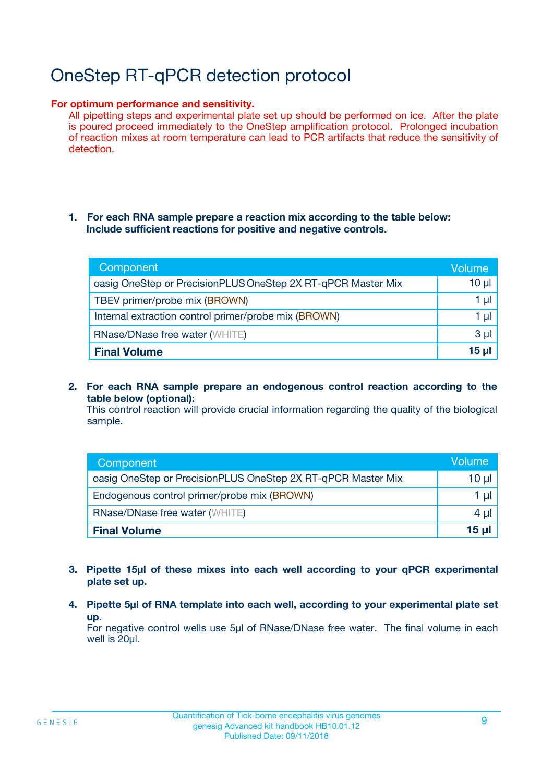# OneStep RT-qPCR detection protocol

#### **For optimum performance and sensitivity.**

All pipetting steps and experimental plate set up should be performed on ice. After the plate is poured proceed immediately to the OneStep amplification protocol. Prolonged incubation of reaction mixes at room temperature can lead to PCR artifacts that reduce the sensitivity of detection.

#### **1. For each RNA sample prepare a reaction mix according to the table below: Include sufficient reactions for positive and negative controls.**

| Component                                                    | <b>Volume</b> |
|--------------------------------------------------------------|---------------|
| oasig OneStep or PrecisionPLUS OneStep 2X RT-qPCR Master Mix | $10 \mu$      |
| TBEV primer/probe mix (BROWN)                                | 1 µI          |
| Internal extraction control primer/probe mix (BROWN)         | 1 µI          |
| RNase/DNase free water (WHITE)                               | $3 \mu$       |
| <b>Final Volume</b>                                          | 15 µl         |

**2. For each RNA sample prepare an endogenous control reaction according to the table below (optional):**

This control reaction will provide crucial information regarding the quality of the biological sample.

| Component                                                    | Volume          |
|--------------------------------------------------------------|-----------------|
| oasig OneStep or PrecisionPLUS OneStep 2X RT-qPCR Master Mix | 10 µl           |
| Endogenous control primer/probe mix (BROWN)                  | 1 µl            |
| <b>RNase/DNase free water (WHITE)</b>                        | $4 \mu$         |
| <b>Final Volume</b>                                          | $15$ µl $\vert$ |

- **3. Pipette 15µl of these mixes into each well according to your qPCR experimental plate set up.**
- **4. Pipette 5µl of RNA template into each well, according to your experimental plate set up.**

For negative control wells use 5µl of RNase/DNase free water. The final volume in each well is 20µl.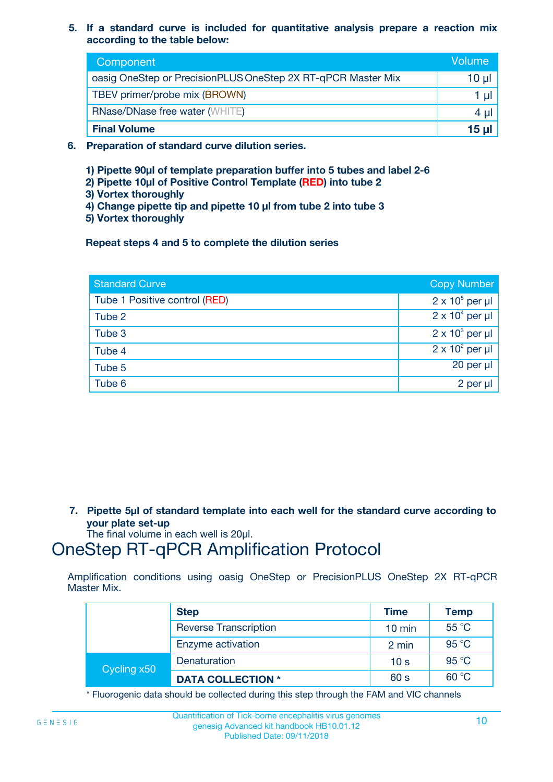**5. If a standard curve is included for quantitative analysis prepare a reaction mix according to the table below:**

| Component                                                    | Volume       |
|--------------------------------------------------------------|--------------|
| oasig OneStep or PrecisionPLUS OneStep 2X RT-qPCR Master Mix | $10 \mu$     |
| TBEV primer/probe mix (BROWN)                                |              |
| <b>RNase/DNase free water (WHITE)</b>                        | 4 µ          |
| <b>Final Volume</b>                                          | <u>15 µl</u> |

- **6. Preparation of standard curve dilution series.**
	- **1) Pipette 90µl of template preparation buffer into 5 tubes and label 2-6**
	- **2) Pipette 10µl of Positive Control Template (RED) into tube 2**
	- **3) Vortex thoroughly**
	- **4) Change pipette tip and pipette 10 µl from tube 2 into tube 3**
	- **5) Vortex thoroughly**

**Repeat steps 4 and 5 to complete the dilution series**

| <b>Standard Curve</b>         | <b>Copy Number</b>     |
|-------------------------------|------------------------|
| Tube 1 Positive control (RED) | $2 \times 10^5$ per µl |
| Tube 2                        | $2 \times 10^4$ per µl |
| Tube 3                        | $2 \times 10^3$ per µl |
| Tube 4                        | $2 \times 10^2$ per µl |
| Tube 5                        | 20 per µl              |
| Tube 6                        | 2 per µl               |

**7. Pipette 5µl of standard template into each well for the standard curve according to your plate set-up**

The final volume in each well is 20µl.

### OneStep RT-qPCR Amplification Protocol

Amplification conditions using oasig OneStep or PrecisionPLUS OneStep 2X RT-qPCR Master Mix.

|             | <b>Step</b>                  | <b>Time</b>      | <b>Temp</b> |
|-------------|------------------------------|------------------|-------------|
|             | <b>Reverse Transcription</b> | $10 \text{ min}$ | 55 °C       |
|             | Enzyme activation            | 2 min            | 95 °C       |
| Cycling x50 | Denaturation                 | 10 <sub>s</sub>  | 95 °C       |
|             | <b>DATA COLLECTION *</b>     | 60 s             | 60 °C       |

\* Fluorogenic data should be collected during this step through the FAM and VIC channels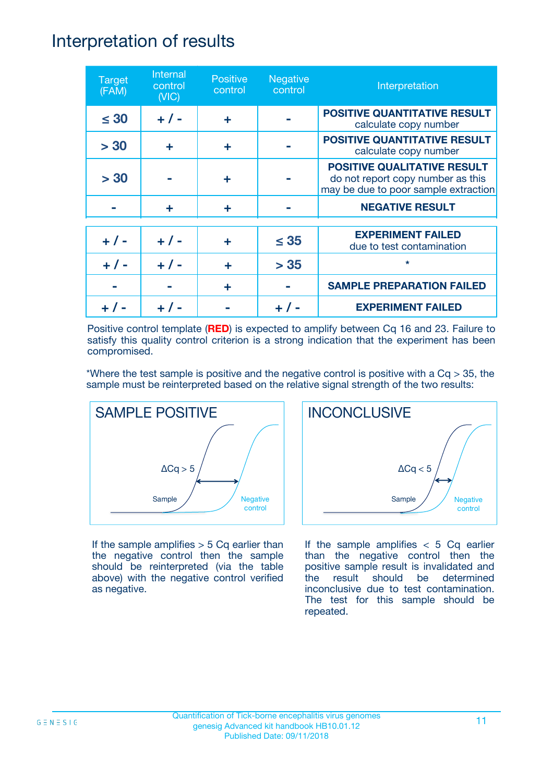### Interpretation of results

| <b>Target</b><br>(FAM) | Internal<br>control<br>(NIC) | <b>Positive</b><br>control | <b>Negative</b><br>control | Interpretation                                                                                                  |
|------------------------|------------------------------|----------------------------|----------------------------|-----------------------------------------------------------------------------------------------------------------|
| $\leq 30$              | $+ 1 -$                      | ÷                          |                            | <b>POSITIVE QUANTITATIVE RESULT</b><br>calculate copy number                                                    |
| > 30                   | ٠                            | ÷                          |                            | <b>POSITIVE QUANTITATIVE RESULT</b><br>calculate copy number                                                    |
| > 30                   |                              | ÷                          |                            | <b>POSITIVE QUALITATIVE RESULT</b><br>do not report copy number as this<br>may be due to poor sample extraction |
|                        | ÷                            | ÷                          |                            | <b>NEGATIVE RESULT</b>                                                                                          |
| $+ 1 -$                | $+ 1 -$                      | ÷                          | $\leq$ 35                  | <b>EXPERIMENT FAILED</b><br>due to test contamination                                                           |
| $+ 1 -$                | $+ 1 -$                      | ÷                          | > 35                       | $\star$                                                                                                         |
|                        |                              | ÷                          |                            | <b>SAMPLE PREPARATION FAILED</b>                                                                                |
|                        |                              |                            |                            | <b>EXPERIMENT FAILED</b>                                                                                        |

Positive control template (**RED**) is expected to amplify between Cq 16 and 23. Failure to satisfy this quality control criterion is a strong indication that the experiment has been compromised.

\*Where the test sample is positive and the negative control is positive with a  $Cq > 35$ , the sample must be reinterpreted based on the relative signal strength of the two results:



If the sample amplifies  $> 5$  Cq earlier than the negative control then the sample should be reinterpreted (via the table above) with the negative control verified as negative.



If the sample amplifies  $< 5$  Cq earlier than the negative control then the positive sample result is invalidated and the result should be determined inconclusive due to test contamination. The test for this sample should be repeated.